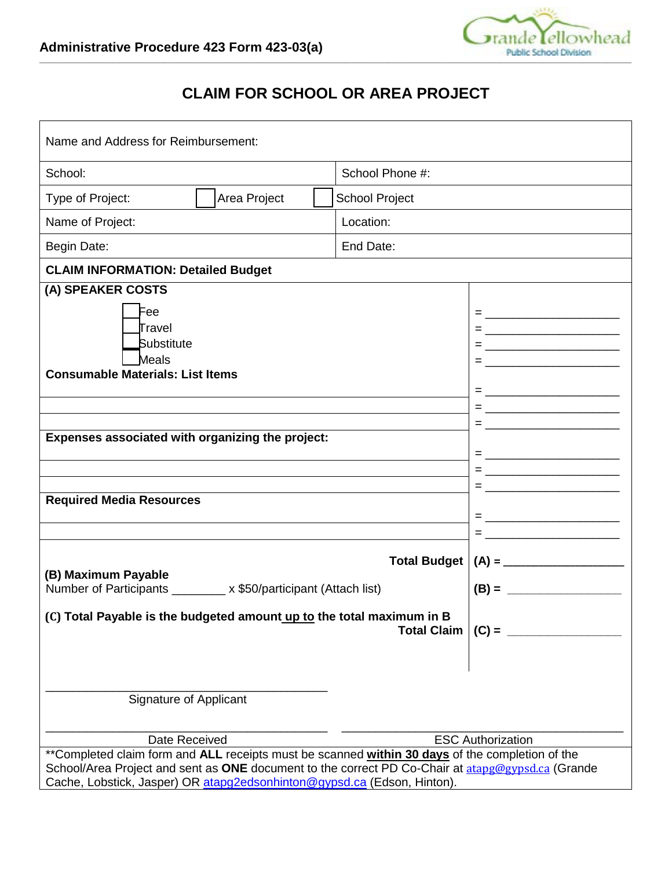

## **CLAIM FOR SCHOOL OR AREA PROJECT**

| Name and Address for Reimbursement:                                                                                                                                                                                                                                             |                                       |                    |                                                                                                                                                                                 |
|---------------------------------------------------------------------------------------------------------------------------------------------------------------------------------------------------------------------------------------------------------------------------------|---------------------------------------|--------------------|---------------------------------------------------------------------------------------------------------------------------------------------------------------------------------|
| School:                                                                                                                                                                                                                                                                         |                                       | School Phone #:    |                                                                                                                                                                                 |
| Type of Project:                                                                                                                                                                                                                                                                | <b>School Project</b><br>Area Project |                    |                                                                                                                                                                                 |
| Name of Project:                                                                                                                                                                                                                                                                |                                       | Location:          |                                                                                                                                                                                 |
| Begin Date:                                                                                                                                                                                                                                                                     |                                       | End Date:          |                                                                                                                                                                                 |
| <b>CLAIM INFORMATION: Detailed Budget</b>                                                                                                                                                                                                                                       |                                       |                    |                                                                                                                                                                                 |
| (A) SPEAKER COSTS                                                                                                                                                                                                                                                               |                                       |                    |                                                                                                                                                                                 |
| Fee<br>Travel<br>Substitute<br>Meals<br><b>Consumable Materials: List Items</b><br>Expenses associated with organizing the project:<br><b>Required Media Resources</b>                                                                                                          |                                       |                    | = <u>_______________________</u><br>= <u>______________________</u><br>= <u>_________________________</u><br>= <u>______________________</u><br>= <u>______________________</u> |
| <b>Total Budget</b><br>(B) Maximum Payable                                                                                                                                                                                                                                      |                                       |                    |                                                                                                                                                                                 |
| Number of Participants ________ x \$50/participant (Attach list)                                                                                                                                                                                                                |                                       |                    | $(B) =$                                                                                                                                                                         |
| (C) Total Payable is the budgeted amount up to the total maximum in B                                                                                                                                                                                                           |                                       | <b>Total Claim</b> | $(C) =$                                                                                                                                                                         |
| Signature of Applicant                                                                                                                                                                                                                                                          |                                       |                    |                                                                                                                                                                                 |
| Date Received                                                                                                                                                                                                                                                                   |                                       |                    | <b>ESC Authorization</b>                                                                                                                                                        |
| **Completed claim form and ALL receipts must be scanned within 30 days of the completion of the<br>School/Area Project and sent as ONE document to the correct PD Co-Chair at atapg@gypsd.ca (Grande<br>Cache, Lobstick, Jasper) OR atapg2edsonhinton@gypsd.ca (Edson, Hinton). |                                       |                    |                                                                                                                                                                                 |